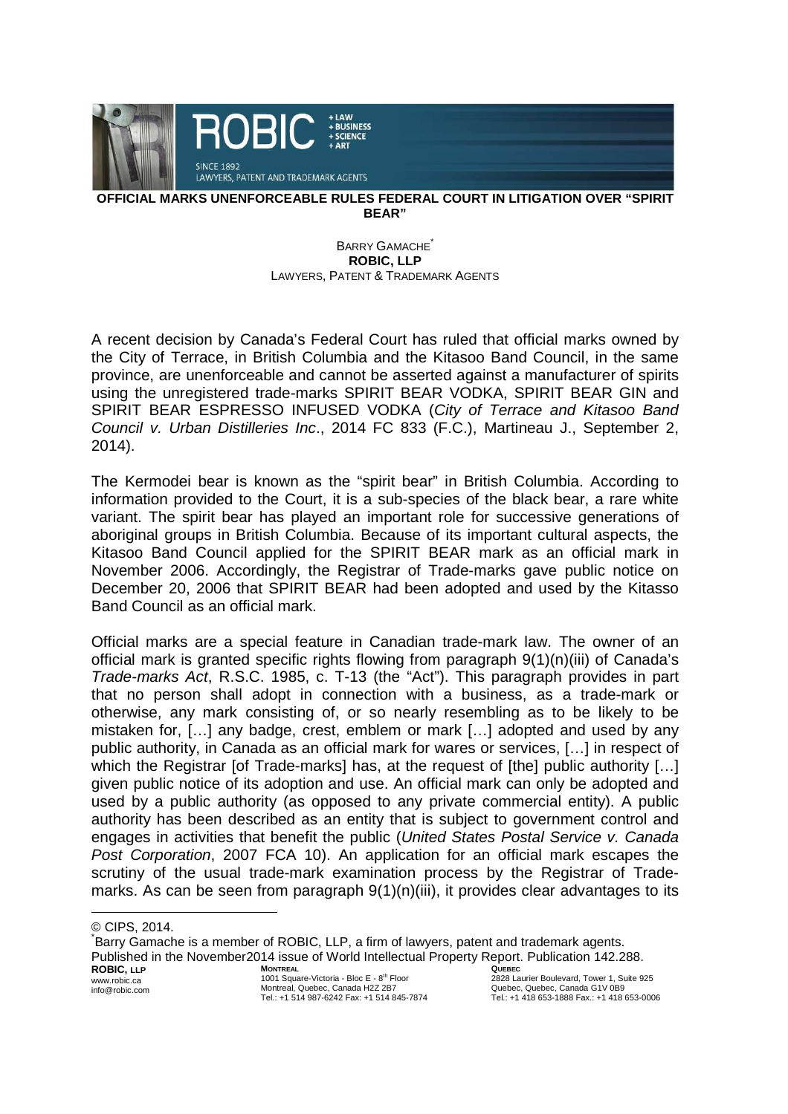

## **OFFICIAL MARKS UNENFORCEABLE RULES FEDERAL COURT IN LITIGATION OVER "SPIRIT BEAR"**

## BARRY GAMACHE<sup>\*</sup> **ROBIC, LLP** LAWYERS, PATENT & TRADEMARK AGENTS

A recent decision by Canada's Federal Court has ruled that official marks owned by the City of Terrace, in British Columbia and the Kitasoo Band Council, in the same province, are unenforceable and cannot be asserted against a manufacturer of spirits using the unregistered trade-marks SPIRIT BEAR VODKA, SPIRIT BEAR GIN and SPIRIT BEAR ESPRESSO INFUSED VODKA (City of Terrace and Kitasoo Band Council v. Urban Distilleries Inc., 2014 FC 833 (F.C.), Martineau J., September 2, 2014).

The Kermodei bear is known as the "spirit bear" in British Columbia. According to information provided to the Court, it is a sub-species of the black bear, a rare white variant. The spirit bear has played an important role for successive generations of aboriginal groups in British Columbia. Because of its important cultural aspects, the Kitasoo Band Council applied for the SPIRIT BEAR mark as an official mark in November 2006. Accordingly, the Registrar of Trade-marks gave public notice on December 20, 2006 that SPIRIT BEAR had been adopted and used by the Kitasso Band Council as an official mark.

Official marks are a special feature in Canadian trade-mark law. The owner of an official mark is granted specific rights flowing from paragraph 9(1)(n)(iii) of Canada's Trade-marks Act, R.S.C. 1985, c. T-13 (the "Act"). This paragraph provides in part that no person shall adopt in connection with a business, as a trade-mark or otherwise, any mark consisting of, or so nearly resembling as to be likely to be mistaken for, […] any badge, crest, emblem or mark […] adopted and used by any public authority, in Canada as an official mark for wares or services, […] in respect of which the Registrar [of Trade-marks] has, at the request of [the] public authority [...] given public notice of its adoption and use. An official mark can only be adopted and used by a public authority (as opposed to any private commercial entity). A public authority has been described as an entity that is subject to government control and engages in activities that benefit the public (United States Postal Service v. Canada Post Corporation, 2007 FCA 10). An application for an official mark escapes the scrutiny of the usual trade-mark examination process by the Registrar of Trademarks. As can be seen from paragraph 9(1)(n)(iii), it provides clear advantages to its

**ROBIC, LLP** www.robic.ca info@robic.com **MONTREAL** 1001 Square-Victoria - Bloc E - 8<sup>th</sup> Floor Montreal, Quebec, Canada H2Z 2B7 Tel.: +1 514 987-6242 Fax: +1 514 845-7874 **QUEBEC**  2828 Laurier Boulevard, Tower 1, Suite 925 Quebec, Quebec, Canada G1V 0B9 Tel.: +1 418 653-1888 Fax.: +1 418 653-0006 \* Barry Gamache is a member of ROBIC, LLP, a firm of lawyers, patent and trademark agents. Published in the November2014 issue of World Intellectual Property Report. Publication 142.288.

<sup>©</sup> CIPS, 2014.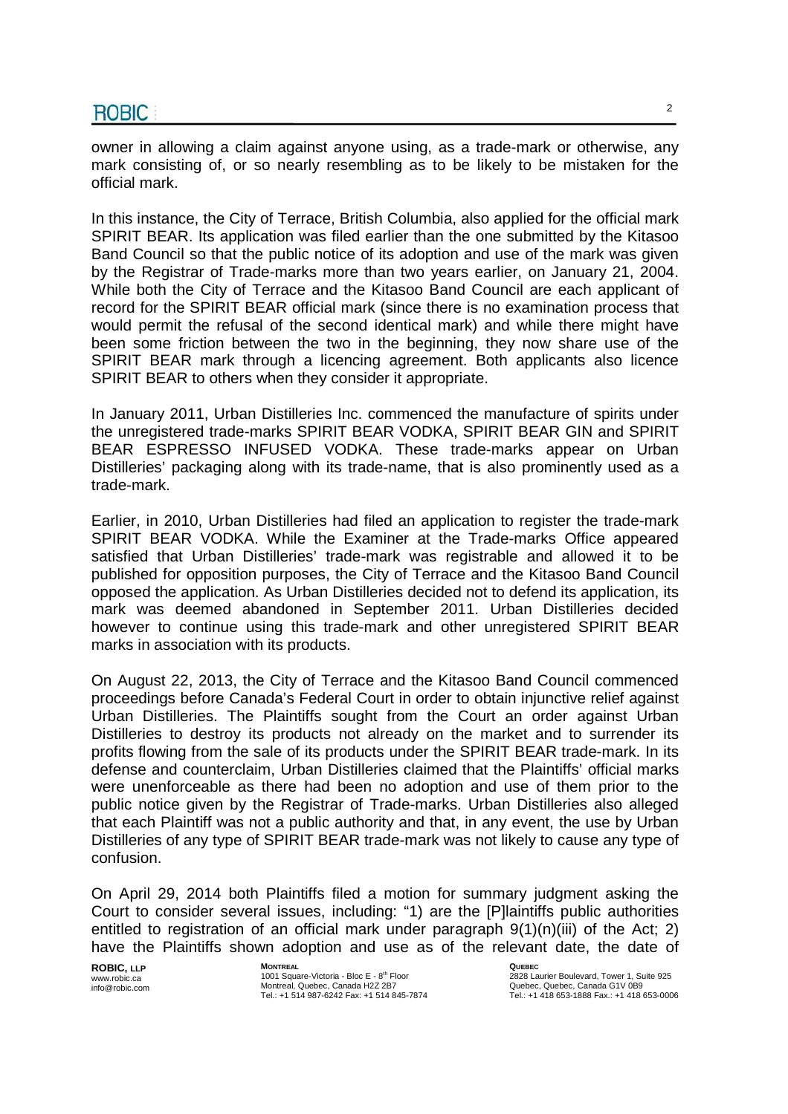owner in allowing a claim against anyone using, as a trade-mark or otherwise, any mark consisting of, or so nearly resembling as to be likely to be mistaken for the official mark.

In this instance, the City of Terrace, British Columbia, also applied for the official mark SPIRIT BEAR. Its application was filed earlier than the one submitted by the Kitasoo Band Council so that the public notice of its adoption and use of the mark was given by the Registrar of Trade-marks more than two years earlier, on January 21, 2004. While both the City of Terrace and the Kitasoo Band Council are each applicant of record for the SPIRIT BEAR official mark (since there is no examination process that would permit the refusal of the second identical mark) and while there might have been some friction between the two in the beginning, they now share use of the SPIRIT BEAR mark through a licencing agreement. Both applicants also licence SPIRIT BEAR to others when they consider it appropriate.

In January 2011, Urban Distilleries Inc. commenced the manufacture of spirits under the unregistered trade-marks SPIRIT BEAR VODKA, SPIRIT BEAR GIN and SPIRIT BEAR ESPRESSO INFUSED VODKA. These trade-marks appear on Urban Distilleries' packaging along with its trade-name, that is also prominently used as a trade-mark.

Earlier, in 2010, Urban Distilleries had filed an application to register the trade-mark SPIRIT BEAR VODKA. While the Examiner at the Trade-marks Office appeared satisfied that Urban Distilleries' trade-mark was registrable and allowed it to be published for opposition purposes, the City of Terrace and the Kitasoo Band Council opposed the application. As Urban Distilleries decided not to defend its application, its mark was deemed abandoned in September 2011. Urban Distilleries decided however to continue using this trade-mark and other unregistered SPIRIT BEAR marks in association with its products.

On August 22, 2013, the City of Terrace and the Kitasoo Band Council commenced proceedings before Canada's Federal Court in order to obtain injunctive relief against Urban Distilleries. The Plaintiffs sought from the Court an order against Urban Distilleries to destroy its products not already on the market and to surrender its profits flowing from the sale of its products under the SPIRIT BEAR trade-mark. In its defense and counterclaim, Urban Distilleries claimed that the Plaintiffs' official marks were unenforceable as there had been no adoption and use of them prior to the public notice given by the Registrar of Trade-marks. Urban Distilleries also alleged that each Plaintiff was not a public authority and that, in any event, the use by Urban Distilleries of any type of SPIRIT BEAR trade-mark was not likely to cause any type of confusion.

On April 29, 2014 both Plaintiffs filed a motion for summary judgment asking the Court to consider several issues, including: "1) are the [P]laintiffs public authorities entitled to registration of an official mark under paragraph 9(1)(n)(iii) of the Act; 2) have the Plaintiffs shown adoption and use as of the relevant date, the date of

**ROBIC, LLP** www.robic.ca info@robic.com **MONTREAL** 1001 Square-Victoria - Bloc E - 8<sup>th</sup> Floor Montreal, Quebec, Canada H2Z 2B7 Tel.: +1 514 987-6242 Fax: +1 514 845-7874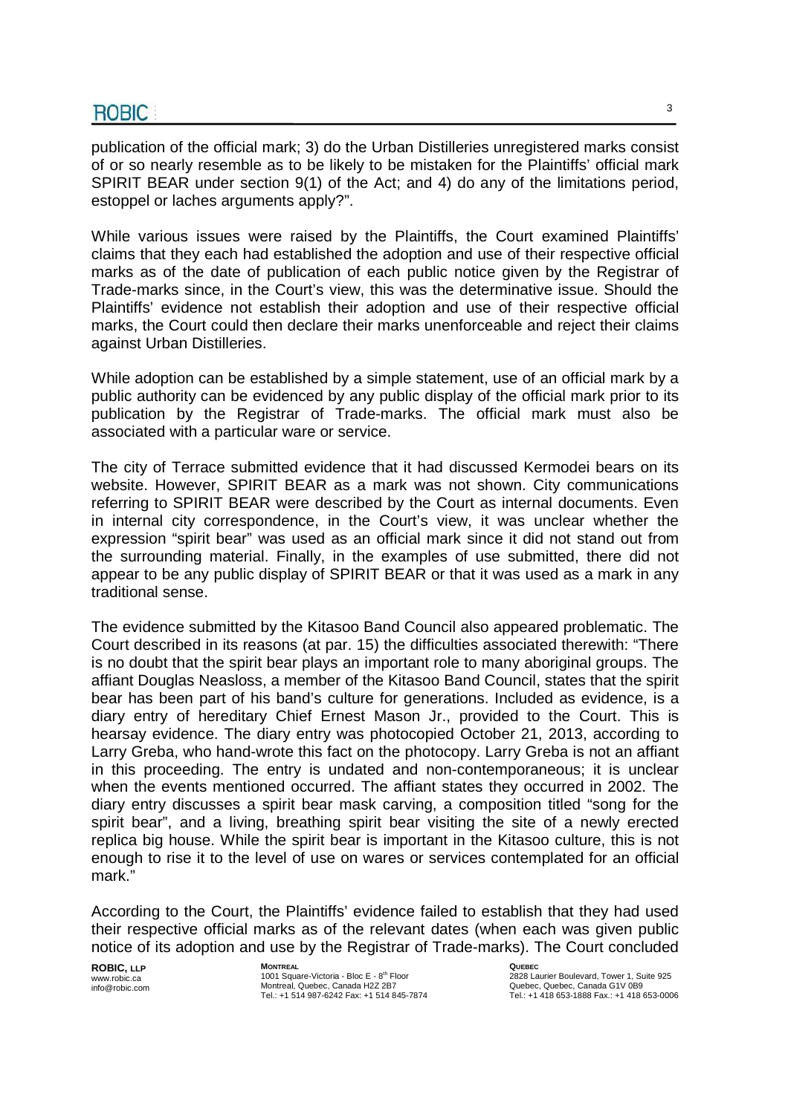publication of the official mark; 3) do the Urban Distilleries unregistered marks consist of or so nearly resemble as to be likely to be mistaken for the Plaintiffs' official mark SPIRIT BEAR under section 9(1) of the Act; and 4) do any of the limitations period, estoppel or laches arguments apply?".

While various issues were raised by the Plaintiffs, the Court examined Plaintiffs' claims that they each had established the adoption and use of their respective official marks as of the date of publication of each public notice given by the Registrar of Trade-marks since, in the Court's view, this was the determinative issue. Should the Plaintiffs' evidence not establish their adoption and use of their respective official marks, the Court could then declare their marks unenforceable and reject their claims against Urban Distilleries.

While adoption can be established by a simple statement, use of an official mark by a public authority can be evidenced by any public display of the official mark prior to its publication by the Registrar of Trade-marks. The official mark must also be associated with a particular ware or service.

The city of Terrace submitted evidence that it had discussed Kermodei bears on its website. However, SPIRIT BEAR as a mark was not shown. City communications referring to SPIRIT BEAR were described by the Court as internal documents. Even in internal city correspondence, in the Court's view, it was unclear whether the expression "spirit bear" was used as an official mark since it did not stand out from the surrounding material. Finally, in the examples of use submitted, there did not appear to be any public display of SPIRIT BEAR or that it was used as a mark in any traditional sense.

The evidence submitted by the Kitasoo Band Council also appeared problematic. The Court described in its reasons (at par. 15) the difficulties associated therewith: "There is no doubt that the spirit bear plays an important role to many aboriginal groups. The affiant Douglas Neasloss, a member of the Kitasoo Band Council, states that the spirit bear has been part of his band's culture for generations. Included as evidence, is a diary entry of hereditary Chief Ernest Mason Jr., provided to the Court. This is hearsay evidence. The diary entry was photocopied October 21, 2013, according to Larry Greba, who hand-wrote this fact on the photocopy. Larry Greba is not an affiant in this proceeding. The entry is undated and non-contemporaneous; it is unclear when the events mentioned occurred. The affiant states they occurred in 2002. The diary entry discusses a spirit bear mask carving, a composition titled "song for the spirit bear", and a living, breathing spirit bear visiting the site of a newly erected replica big house. While the spirit bear is important in the Kitasoo culture, this is not enough to rise it to the level of use on wares or services contemplated for an official mark."

According to the Court, the Plaintiffs' evidence failed to establish that they had used their respective official marks as of the relevant dates (when each was given public notice of its adoption and use by the Registrar of Trade-marks). The Court concluded

**ROBIC, LLP** www.robic.ca info@robic.com **MONTREAL** 1001 Square-Victoria - Bloc E - 8<sup>th</sup> Floor Montreal, Quebec, Canada H2Z 2B7 Tel.: +1 514 987-6242 Fax: +1 514 845-7874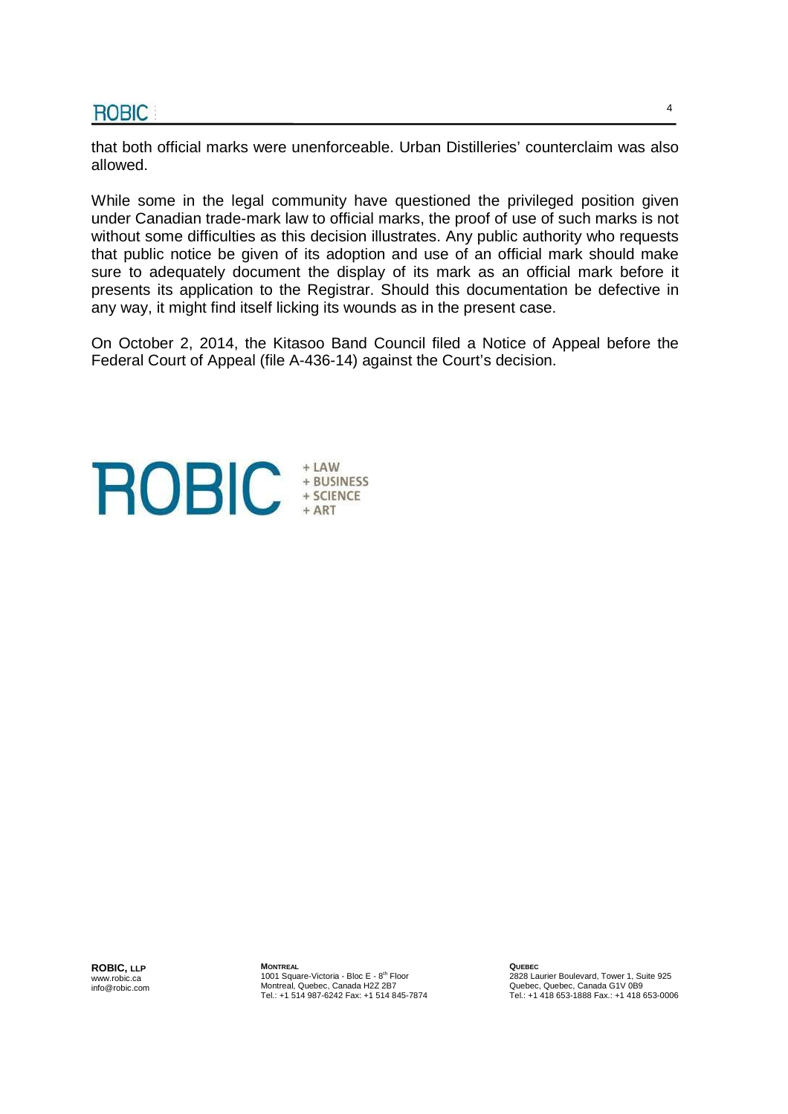that both official marks were unenforceable. Urban Distilleries' counterclaim was also allowed.

While some in the legal community have questioned the privileged position given under Canadian trade-mark law to official marks, the proof of use of such marks is not without some difficulties as this decision illustrates. Any public authority who requests that public notice be given of its adoption and use of an official mark should make sure to adequately document the display of its mark as an official mark before it presents its application to the Registrar. Should this documentation be defective in any way, it might find itself licking its wounds as in the present case.

On October 2, 2014, the Kitasoo Band Council filed a Notice of Appeal before the Federal Court of Appeal (file A-436-14) against the Court's decision.



**ROBIC, LLP** www.robic.ca info@robic.com **MONTREAL** 1001 Square-Victoria - Bloc E - 8<sup>th</sup> Floor Montreal, Quebec, Canada H2Z 2B7 Tel.: +1 514 987-6242 Fax: +1 514 845-7874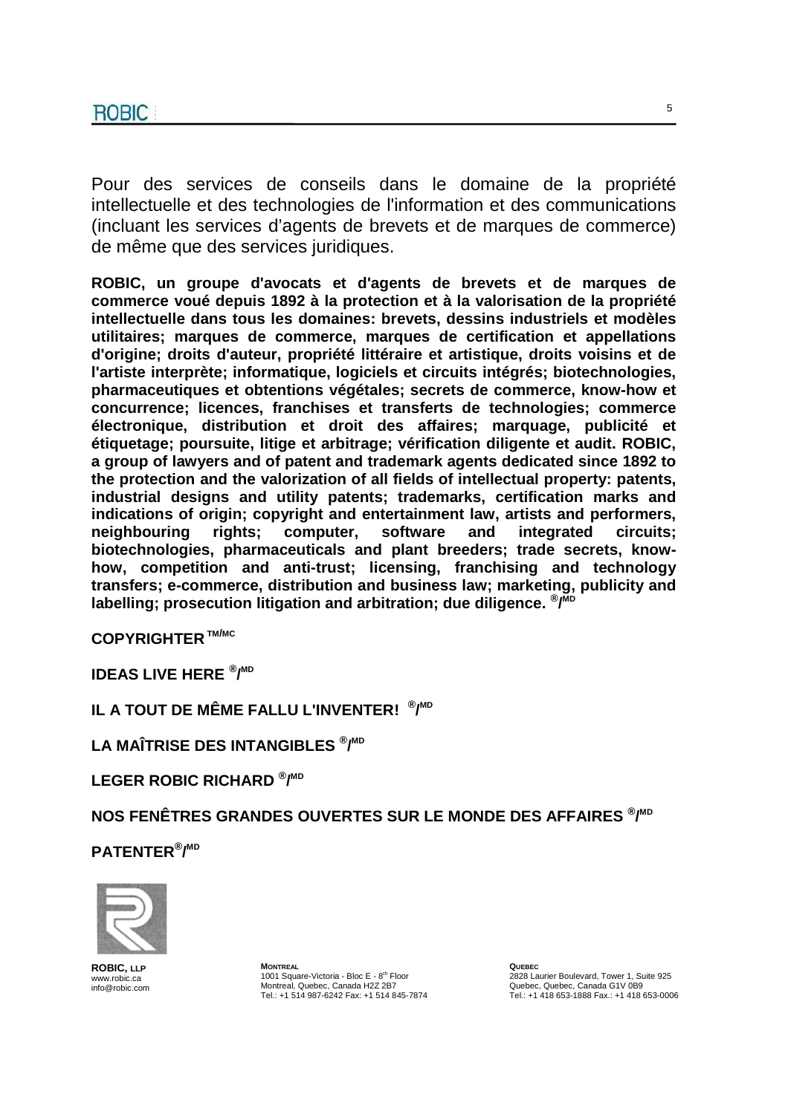Pour des services de conseils dans le domaine de la propriété intellectuelle et des technologies de l'information et des communications (incluant les services d'agents de brevets et de marques de commerce) de même que des services juridiques.

**ROBIC, un groupe d'avocats et d'agents de brevets et de marques de commerce voué depuis 1892 à la protection et à la valorisation de la propriété intellectuelle dans tous les domaines: brevets, dessins industriels et modèles utilitaires; marques de commerce, marques de certification et appellations d'origine; droits d'auteur, propriété littéraire et artistique, droits voisins et de l'artiste interprète; informatique, logiciels et circuits intégrés; biotechnologies, pharmaceutiques et obtentions végétales; secrets de commerce, know-how et concurrence; licences, franchises et transferts de technologies; commerce électronique, distribution et droit des affaires; marquage, publicité et étiquetage; poursuite, litige et arbitrage; vérification diligente et audit. ROBIC, a group of lawyers and of patent and trademark agents dedicated since 1892 to the protection and the valorization of all fields of intellectual property: patents, industrial designs and utility patents; trademarks, certification marks and indications of origin; copyright and entertainment law, artists and performers, neighbouring rights; computer, software and integrated circuits; biotechnologies, pharmaceuticals and plant breeders; trade secrets, knowhow, competition and anti-trust; licensing, franchising and technology transfers; e-commerce, distribution and business law; marketing, publicity and labelling; prosecution litigation and arbitration; due diligence. ® / MD**

**COPYRIGHTER TM/MC**

**IDEAS LIVE HERE ® / MD**

**IL A TOUT DE MÊME FALLU L'INVENTER! ® / MD**

**LA MAÎTRISE DES INTANGIBLES ® / MD**

**LEGER ROBIC RICHARD ® / MD**

**NOS FENÊTRES GRANDES OUVERTES SUR LE MONDE DES AFFAIRES ® / MD**

**PATENTER® / MD** 



**ROBIC LLP** www.robic.ca info@robic.com **MONTREAL** 1001 Square-Victoria - Bloc E - 8<sup>th</sup> Floor Montreal, Quebec, Canada H2Z 2B7 Tel.: +1 514 987-6242 Fax: +1 514 845-7874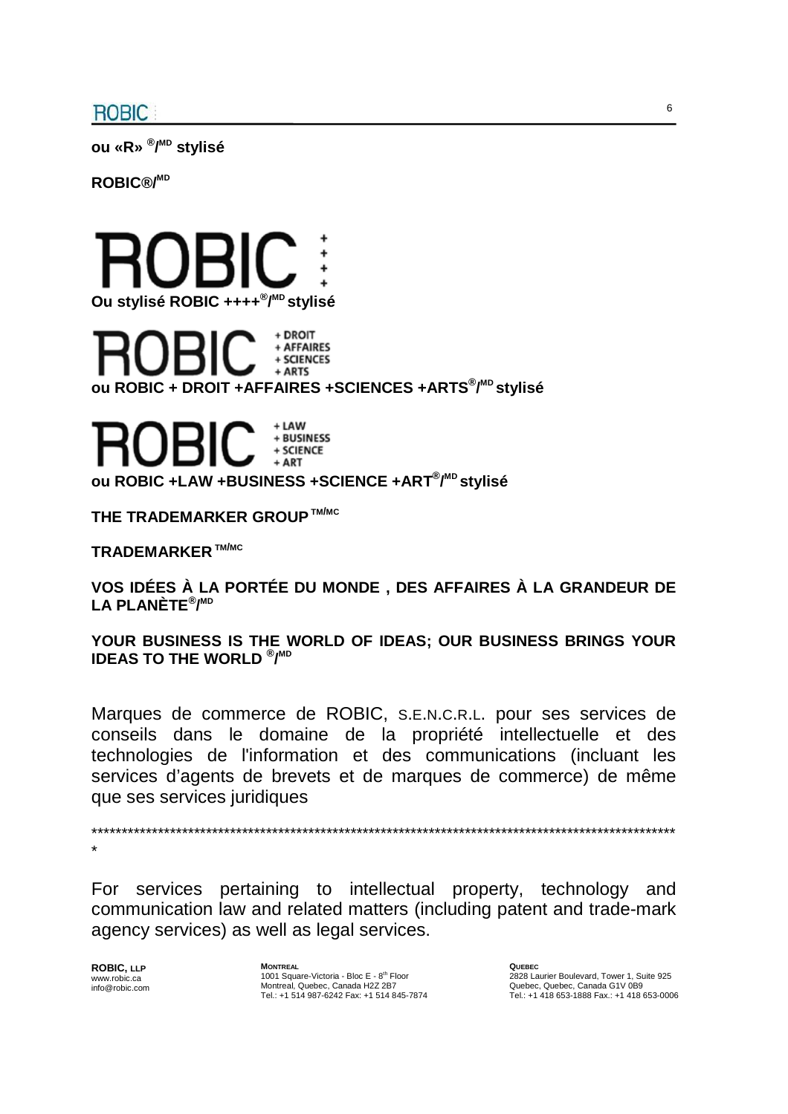**ou «R» ® / MD stylisé** 

**ROBIC®/MD**



+ AFFAIRES + SCIENCES + ARTS **ou ROBIC + DROIT +AFFAIRES +SCIENCES +ARTS® / MD stylisé**



**ou ROBIC +LAW +BUSINESS +SCIENCE +ART® / MD stylisé** 

**THE TRADEMARKER GROUP TM/MC**

**TRADEMARKER TM/MC**

**VOS IDÉES À LA PORTÉE DU MONDE , DES AFFAIRES À LA GRANDEUR DE LA PLANÈTE® / MD**

**YOUR BUSINESS IS THE WORLD OF IDEAS; OUR BUSINESS BRINGS YOUR IDEAS TO THE WORLD ® / MD**

Marques de commerce de ROBIC, S.E.N.C.R.L. pour ses services de conseils dans le domaine de la propriété intellectuelle et des technologies de l'information et des communications (incluant les services d'agents de brevets et de marques de commerce) de même que ses services juridiques

\*\*\*\*\*\*\*\*\*\*\*\*\*\*\*\*\*\*\*\*\*\*\*\*\*\*\*\*\*\*\*\*\*\*\*\*\*\*\*\*\*\*\*\*\*\*\*\*\*\*\*\*\*\*\*\*\*\*\*\*\*\*\*\*\*\*\*\*\*\*\*\*\*\*\*\*\*\*\*\*\*\*\*\*\*\*\*\*\*\*\*\*\*\*\*\*\* \*

For services pertaining to intellectual property, technology and communication law and related matters (including patent and trade-mark agency services) as well as legal services.

**ROBIC, LLP** www.robic.ca info@robic.com **MONTREAL** 1001 Square-Victoria - Bloc E - 8<sup>th</sup> Floor Montreal, Quebec, Canada H2Z 2B7 Tel.: +1 514 987-6242 Fax: +1 514 845-7874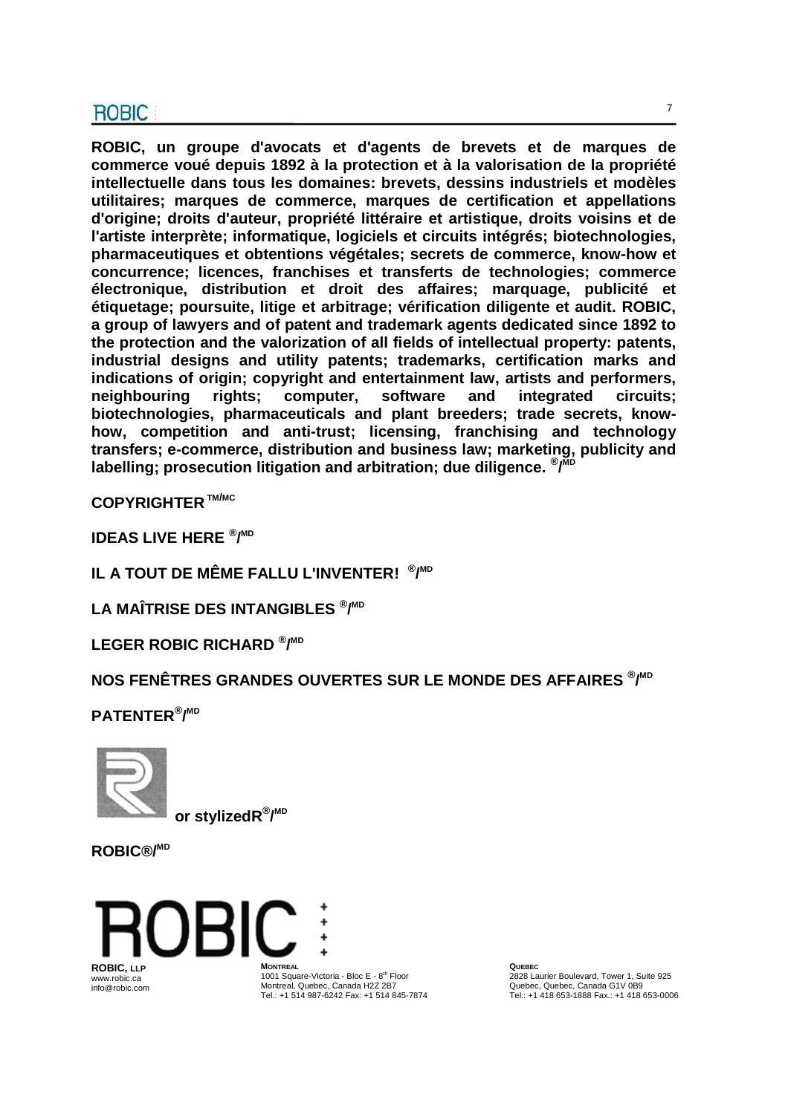**ROBIC, un groupe d'avocats et d'agents de brevets et de marques de commerce voué depuis 1892 à la protection et à la valorisation de la propriété intellectuelle dans tous les domaines: brevets, dessins industriels et modèles utilitaires; marques de commerce, marques de certification et appellations d'origine; droits d'auteur, propriété littéraire et artistique, droits voisins et de l'artiste interprète; informatique, logiciels et circuits intégrés; biotechnologies, pharmaceutiques et obtentions végétales; secrets de commerce, know-how et concurrence; licences, franchises et transferts de technologies; commerce électronique, distribution et droit des affaires; marquage, publicité et étiquetage; poursuite, litige et arbitrage; vérification diligente et audit. ROBIC, a group of lawyers and of patent and trademark agents dedicated since 1892 to the protection and the valorization of all fields of intellectual property: patents, industrial designs and utility patents; trademarks, certification marks and indications of origin; copyright and entertainment law, artists and performers, neighbouring rights; computer, software and integrated circuits; biotechnologies, pharmaceuticals and plant breeders; trade secrets, knowhow, competition and anti-trust; licensing, franchising and technology transfers; e-commerce, distribution and business law; marketing, publicity and labelling; prosecution litigation and arbitration; due diligence. ® / MD**

**COPYRIGHTER TM/MC**

**IDEAS LIVE HERE ® / MD**

**IL A TOUT DE MÊME FALLU L'INVENTER! ® / MD**

**LA MAÎTRISE DES INTANGIBLES ® / MD**

**LEGER ROBIC RICHARD ® / MD**

**NOS FENÊTRES GRANDES OUVERTES SUR LE MONDE DES AFFAIRES ® / MD**

**PATENTER® / MD**



 **or stylizedR® / MD**

**ROBIC®/MD**



1001 Square-Victoria - Bloc E - 8<sup>th</sup> Floor Montreal, Quebec, Canada H2Z 2B7 Tel.: +1 514 987-6242 Fax: +1 514 845-7874